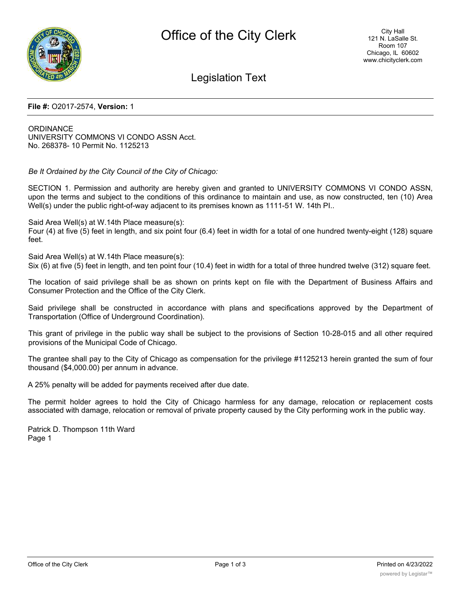

# Legislation Text

#### **File #:** O2017-2574, **Version:** 1

**ORDINANCE** UNIVERSITY COMMONS VI CONDO ASSN Acct. No. 268378- 10 Permit No. 1125213

*Be It Ordained by the City Council of the City of Chicago:*

SECTION 1. Permission and authority are hereby given and granted to UNIVERSITY COMMONS VI CONDO ASSN, upon the terms and subject to the conditions of this ordinance to maintain and use, as now constructed, ten (10) Area Well(s) under the public right-of-way adjacent to its premises known as 1111-51 W. 14th PI..

Said Area Well(s) at W.14th Place measure(s):

Four (4) at five (5) feet in length, and six point four (6.4) feet in width for a total of one hundred twenty-eight (128) square feet.

Said Area Well(s) at W.14th Place measure(s):

Six (6) at five (5) feet in length, and ten point four (10.4) feet in width for a total of three hundred twelve (312) square feet.

The location of said privilege shall be as shown on prints kept on file with the Department of Business Affairs and Consumer Protection and the Office of the City Clerk.

Said privilege shall be constructed in accordance with plans and specifications approved by the Department of Transportation (Office of Underground Coordination).

This grant of privilege in the public way shall be subject to the provisions of Section 10-28-015 and all other required provisions of the Municipal Code of Chicago.

The grantee shall pay to the City of Chicago as compensation for the privilege #1125213 herein granted the sum of four thousand (\$4,000.00) per annum in advance.

A 25% penalty will be added for payments received after due date.

The permit holder agrees to hold the City of Chicago harmless for any damage, relocation or replacement costs associated with damage, relocation or removal of private property caused by the City performing work in the public way.

Patrick D. Thompson 11th Ward Page 1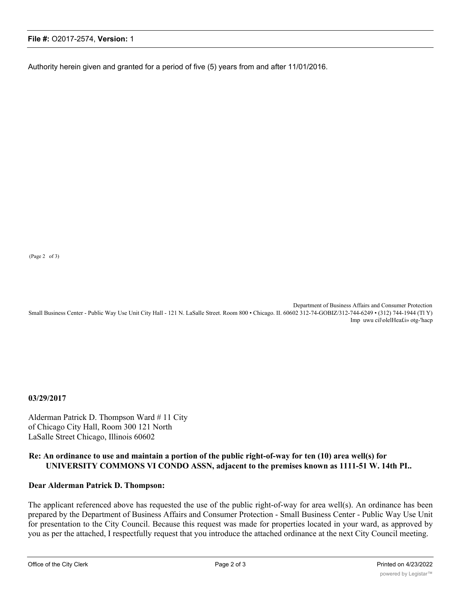### **File #:** O2017-2574, **Version:** 1

Authority herein given and granted for a period of five (5) years from and after 11/01/2016.

(Page 2 of 3)

Department of Business Affairs and Consumer Protection Small Business Center - Public Way Use Unit City Hall - 121 N. LaSalle Street. Room 800 • Chicago. II. 60602 312-74-GOBIZ/312-744-6249 • (312) 744-1944 (Tl Y) Imp uwu cil\olelHea£i» otg-'hacp

**03/29/2017**

Alderman Patrick D. Thompson Ward # 11 City of Chicago City Hall, Room 300 121 North LaSalle Street Chicago, Illinois 60602

# **Re: An ordinance to use and maintain a portion of the public right-of-way for ten (10) area well(s) for UNIVERSITY COMMONS VI CONDO ASSN, adjacent to the premises known as 1111-51 W. 14th PI..**

## **Dear Alderman Patrick D. Thompson:**

The applicant referenced above has requested the use of the public right-of-way for area well(s). An ordinance has been prepared by the Department of Business Affairs and Consumer Protection - Small Business Center - Public Way Use Unit for presentation to the City Council. Because this request was made for properties located in your ward, as approved by you as per the attached, I respectfully request that you introduce the attached ordinance at the next City Council meeting.